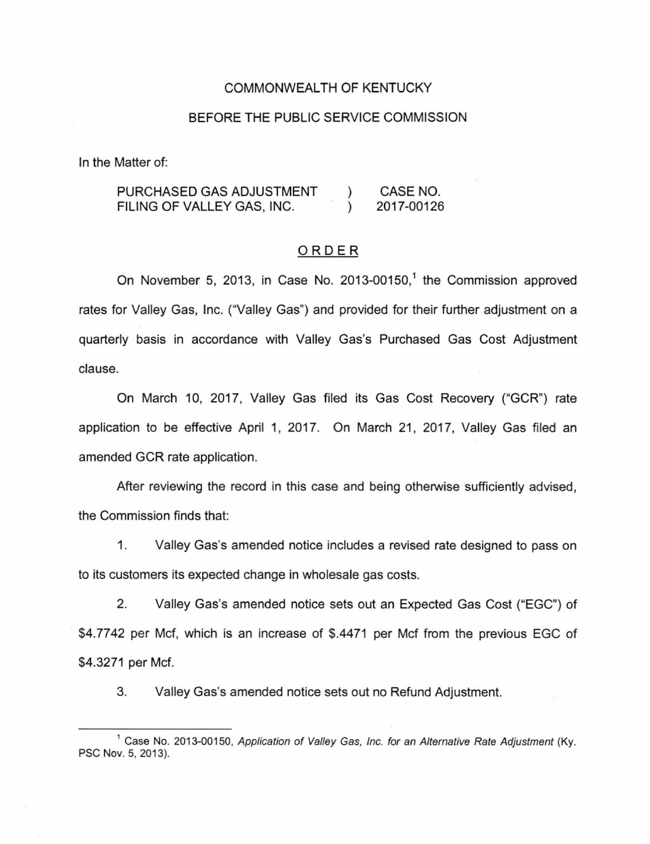## COMMONWEALTH OF KENTUCKY

#### BEFORE THE PUBLIC SERVICE COMMISSION

In the Matter of:

PURCHASED GAS ADJUSTMENT FILING OF VALLEY GAS, INC.  $\lambda$  $\lambda$ CASE NO. 2017-00126

## ORDER

On November 5, 2013, in Case No. 2013-00150, 1 the Commission approved rates for Valley Gas, Inc. ("Valley Gas") and provided for their further adjustment on a quarterly basis in accordance with Valley Gas's Purchased Gas Cost Adjustment clause.

On March 10, 2017, Valley Gas filed its Gas Cost Recovery ("GCR") rate application to be effective April 1, 2017. On March 21, 2017, Valley Gas filed an amended GCR rate application.

After reviewing the record in this case and being otherwise sufficiently advised, the Commission finds that:

1. Valley Gas's amended notice includes a revised rate designed to pass on to its customers its expected change in wholesale gas costs.

2. Valley Gas's amended notice sets out an Expected Gas Cost ("EGG") of \$4.7742 per Mcf, which is an increase of \$.4471 per Mcf from the previous EGG of \$4.3271 per Mcf.

3. Valley Gas's amended notice sets out no Refund Adjustment.

<sup>&</sup>lt;sup>1</sup> Case No. 2013-00150, Application of Valley Gas, Inc. for an Alternative Rate Adjustment (Ky. PSC Nov. 5, 2013).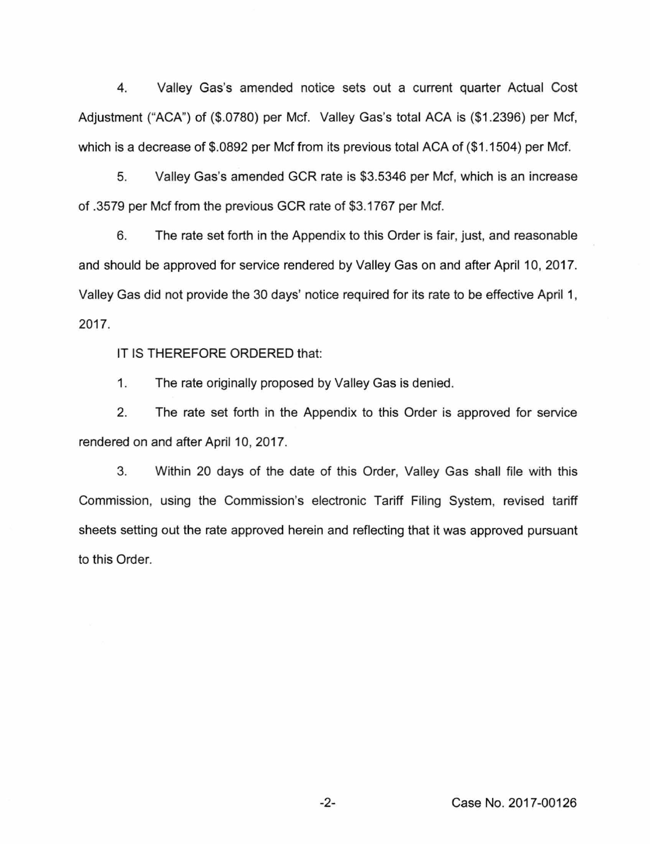4. Valley Gas's amended notice sets out a current quarter Actual Cost Adjustment ("ACA") of (\$.0780) per Mcf. Valley Gas's total ACA is (\$1 .2396) per Mcf, which is a decrease of \$.0892 per Mcf from its previous total ACA of (\$1.1504) per Mcf.

5. Valley Gas's amended GCR rate is \$3.5346 per Mcf, which is an increase of .3579 per Mcf from the previous GCR rate of \$3.1767 per Mcf.

6. The rate set forth in the Appendix to this Order is fair, just, and reasonable and should be approved for service rendered by Valley Gas on and after April 10, 2017. Valley Gas did not provide the 30 days' notice required for its rate to be effective April 1, 2017.

IT IS THEREFORE ORDERED that:

1. The rate originally proposed by Valley Gas is denied.

2. The rate set forth in the Appendix to this Order is approved for service rendered on and after April 10, 2017.

3. Within 20 days of the date of this Order, Valley Gas shall file with this Commission, using the Commission's electronic Tariff Filing System, revised tariff sheets setting out the rate approved herein and reflecting that it was approved pursuant to this Order.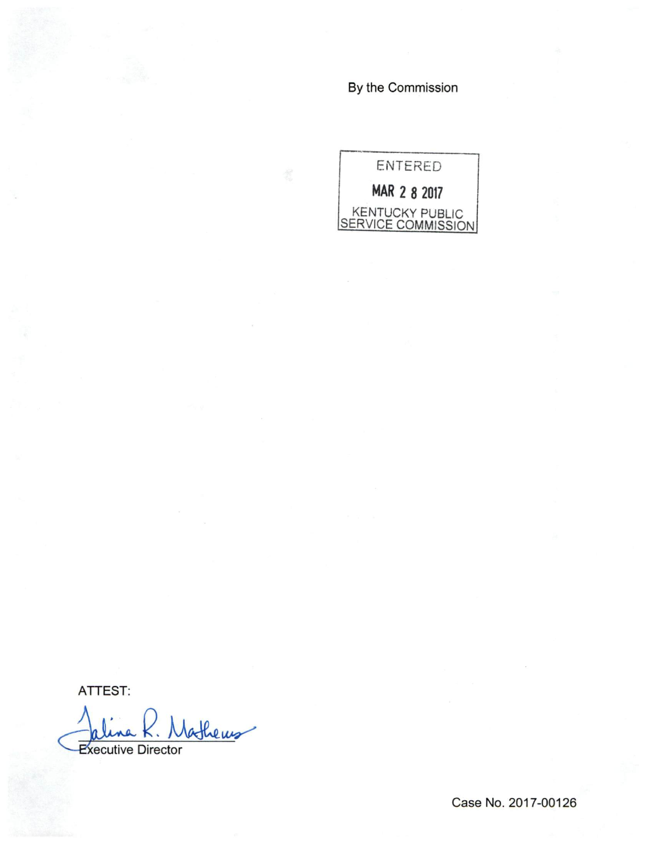By the Commission



ATTEST:

athers **Executive Director** 

Case No. 2017-00126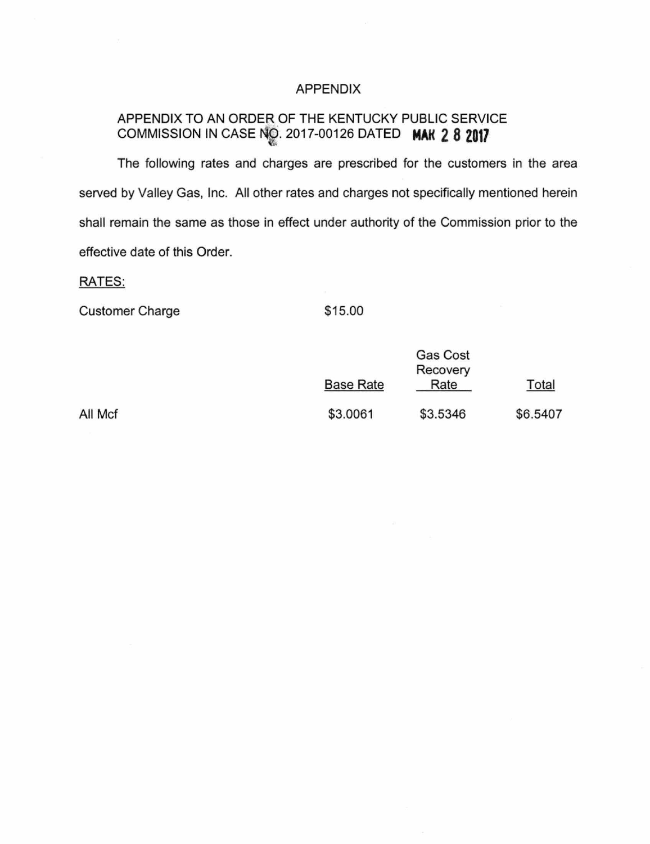# APPENDIX

# APPENDIX TO AN ORDER OF THE KENTUCKY PUBLIC SERVICE COMMISSION IN CASE 2017-00126 DATED **MAK 2 8 2017**

The following rates and charges are prescribed for the customers in the area served by Valley Gas, Inc. All other rates and charges not specifically mentioned herein shall remain the same as those in effect under authority of the Commission prior to the effective date of this Order.

# RATES:

Customer Charge \$15.00

|           | <b>Gas Cost</b> |          |
|-----------|-----------------|----------|
|           | Recovery        |          |
| Base Rate | Rate            | Total    |
| \$3.0061  | \$3.5346        | \$6.5407 |

All Mcf